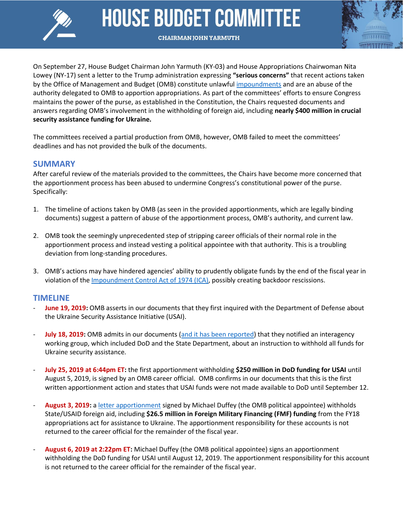

# **HOUSE BUDGET COMMITTEE**



**CHAIRMAN JOHN YARMUTH** 

On September 27, House Budget Chairman John Yarmuth (KY-03) and House Appropriations Chairwoman Nita Lowey (NY-17) sent a letter to the Trump administration expressing **"serious concerns"** that recent actions taken by the Office of Management and Budget (OMB) constitute unlawful [impoundments](https://budget.house.gov/publications/report/impoundment-control-act-1974-what-it-why-does-it-matter) and are an abuse of the authority delegated to OMB to apportion appropriations. As part of the committees' efforts to ensure Congress maintains the power of the purse, as established in the Constitution, the Chairs requested documents and answers regarding OMB's involvement in the withholding of foreign aid, including **nearly \$400 million in crucial security assistance funding for Ukraine.**

The committees received a partial production from OMB, however, OMB failed to meet the committees' deadlines and has not provided the bulk of the documents.

### **SUMMARY**

After careful review of the materials provided to the committees, the Chairs have become more concerned that the apportionment process has been abused to undermine Congress's constitutional power of the purse. Specifically:

- 1. The timeline of actions taken by OMB (as seen in the provided apportionments, which are legally binding documents) suggest a pattern of abuse of the apportionment process, OMB's authority, and current law.
- 2. OMB took the seemingly unprecedented step of stripping career officials of their normal role in the apportionment process and instead vesting a political appointee with that authority. This is a troubling deviation from long-standing procedures.
- 3. OMB's actions may have hindered agencies' ability to prudently obligate funds by the end of the fiscal year in violation of the [Impoundment Control Act of 1974](https://budget.house.gov/publications/report/impoundment-control-act-1974-what-it-why-does-it-matter) (ICA), possibly creating backdoor rescissions.

## **TIMELINE**

- June 19, 2019: OMB asserts in our documents that they first inquired with the Department of Defense about the Ukraine Security Assistance Initiative (USAI).
- **July 18, 2019:** OMB admits in our documents [\(and it has been reported\)](https://www.washingtonpost.com/national-security/trump-ordered-hold-on-military-aid-days-before-calling-ukrainian-president-officials-say/2019/09/23/df93a6ca-de38-11e9-8dc8-498eabc129a0_story.html) that they notified an interagency working group, which included DoD and the State Department, about an instruction to withhold all funds for Ukraine security assistance.
- **July 25, 2019 at 6:44pm ET:** the first apportionment withholding **\$250 million in DoD funding for USAI** until August 5, 2019, is signed by an OMB career official. OMB confirms in our documents that this is the first written apportionment action and states that USAI funds were not made available to DoD until September 12.
- **August 3, 2019:** a [letter apportionment](https://int.nyt.com/data/documenthelper/1613-letter-foreign-aid/00439a43706d0dbbe8b2/optimized/full.pdf#page=1) signed by Michael Duffey (the OMB political appointee) withholds State/USAID foreign aid, including **\$26.5 million in Foreign Military Financing (FMF) funding** from the FY18 appropriations act for assistance to Ukraine. The apportionment responsibility for these accounts is not returned to the career official for the remainder of the fiscal year.
- **August 6, 2019 at 2:22pm ET:** Michael Duffey (the OMB political appointee) signs an apportionment withholding the DoD funding for USAI until August 12, 2019. The apportionment responsibility for this account is not returned to the career official for the remainder of the fiscal year.